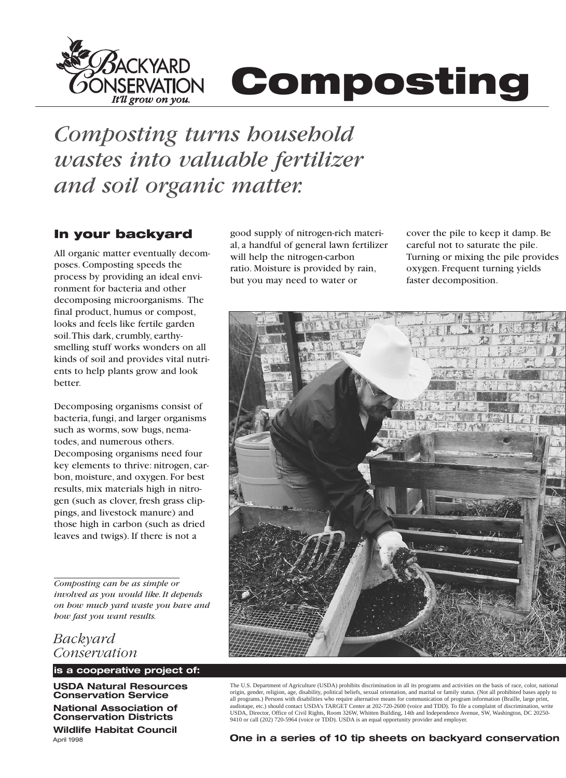

# **Composting**

*Composting turns household wastes into valuable fertilizer and soil organic matter.* 

## **In your backyard** good supply of nitrogen-rich materi-

All organic matter eventually decom-<br>poses. Composting speeds the ratio Moisture is provided by process by providing an ideal envi-<br>but you may need to water or ronment for bacteria and other decomposing microorganisms. The final product, humus or compost, looks and feels like fertile garden soil.This dark, crumbly, earthysmelling stuff works wonders on all kinds of soil and provides vital nutrients to help plants grow and look better.

Decomposing organisms consist of bacteria, fungi, and larger organisms such as worms, sow bugs, nematodes, and numerous others. Decomposing organisms need four key elements to thrive: nitrogen, carbon, moisture, and oxygen. For best results, mix materials high in nitrogen (such as clover, fresh grass clippings, and livestock manure) and those high in carbon (such as dried leaves and twigs). If there is not a

*Composting can be as simple or involved as you would like. It depends on how much yard waste you have and how fast you want results.* 

*Backyard Conservation* 

**is a cooperative project of:** 

**USDA Natural Resources Conservation Service** 

**National Association of Conservation Districts Wildlife Habitat Council** 

al, a handful of general lawn fertilizer ratio. Moisture is provided by rain,

cover the pile to keep it damp. Be careful not to saturate the pile. Turning or mixing the pile provides oxygen. Frequent turning yields faster decomposition.



The U.S. Department of Agriculture (USDA) prohibits discrimination in all its programs and activities on the basis of race, color, national origin, gender, religion, age, disability, political beliefs, sexual orientation, and marital or family status. (Not all prohibited bases apply to all programs.) Persons with disabilities who require alternative means for communication of program information (Braille, large print,<br>audiotape, etc.) should contact USDA's TARGET Center at 202-720-2600 (voice and TDD). T USDA, Director, Office of Civil Rights, Room 326W, Whitten Building, 14th and Independence Avenue, SW, Washington, DC 20250- 9410 or call (202) 720-5964 (voice or TDD). USDA is an equal opportunity provider and employer.

**One in a series of 10 tip sheets on backyard conservation** 

April 1998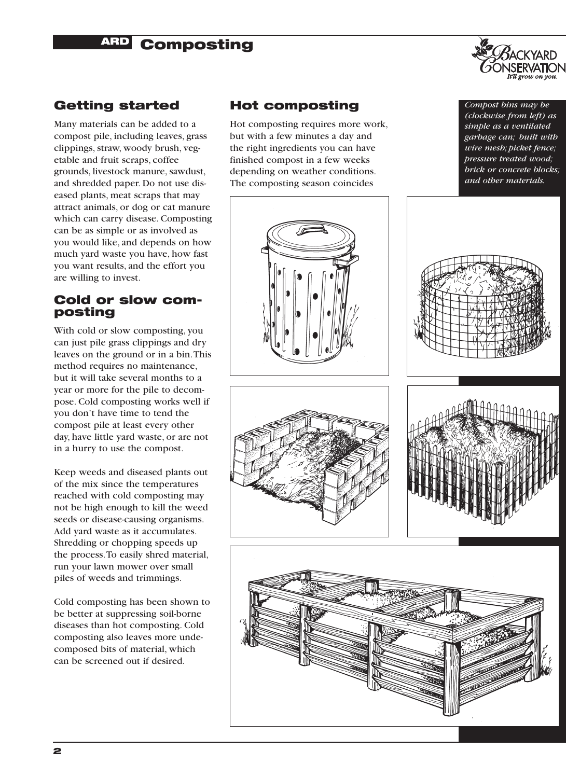## **BARD Composting**



## **Getting started**

Many materials can be added to a compost pile, including leaves, grass clippings, straw, woody brush, vegetable and fruit scraps, coffee grounds, livestock manure, sawdust, and shredded paper. Do not use diseased plants, meat scraps that may attract animals, or dog or cat manure which can carry disease. Composting can be as simple or as involved as you would like, and depends on how much yard waste you have, how fast you want results, and the effort you are willing to invest.

#### **Cold or slow composting**

With cold or slow composting, you can just pile grass clippings and dry leaves on the ground or in a bin.This method requires no maintenance, but it will take several months to a year or more for the pile to decompose. Cold composting works well if you don't have time to tend the compost pile at least every other day, have little yard waste, or are not in a hurry to use the compost.

Keep weeds and diseased plants out of the mix since the temperatures reached with cold composting may not be high enough to kill the weed seeds or disease-causing organisms. Add yard waste as it accumulates. Shredding or chopping speeds up the process.To easily shred material, run your lawn mower over small piles of weeds and trimmings.

Cold composting has been shown to be better at suppressing soil-borne diseases than hot composting. Cold composting also leaves more undecomposed bits of material, which can be screened out if desired.

## **Hot composting**

Hot composting requires more work, but with a few minutes a day and the right ingredients you can have finished compost in a few weeks depending on weather conditions. The composting season coincides





*Compost bins may be (clockwise from left) as simple as a ventilated garbage can; built with wire mesh; picket fence; pressure treated wood; brick or concrete blocks; and other materials.* 





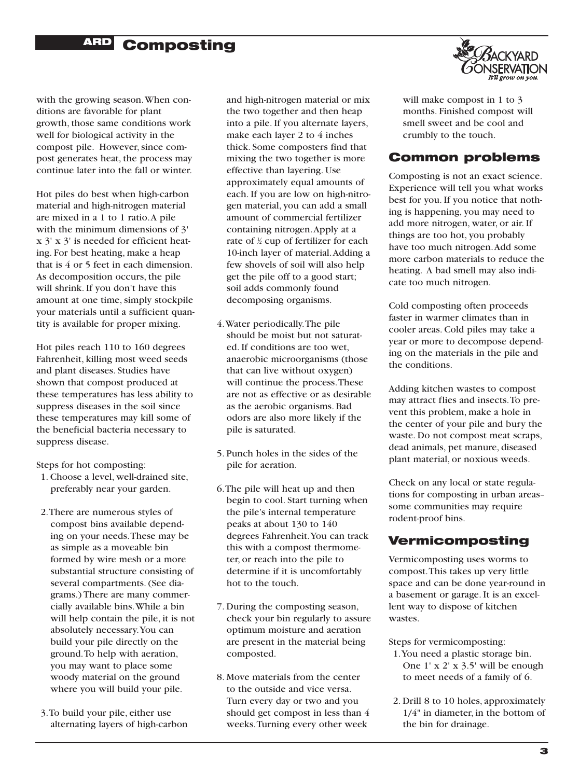# **ARD Composting**



with the growing season.When conditions are favorable for plant growth, those same conditions work well for biological activity in the compost pile. However, since compost generates heat, the process may continue later into the fall or winter.

Hot piles do best when high-carbon material and high-nitrogen material are mixed in a 1 to 1 ratio.A pile with the minimum dimensions of 3' x 3' x 3' is needed for efficient heating. For best heating, make a heap that is 4 or 5 feet in each dimension. As decomposition occurs, the pile will shrink. If you don't have this amount at one time, simply stockpile your materials until a sufficient quantity is available for proper mixing.

Hot piles reach 110 to 160 degrees Fahrenheit, killing most weed seeds and plant diseases. Studies have shown that compost produced at these temperatures has less ability to suppress diseases in the soil since these temperatures may kill some of the beneficial bacteria necessary to suppress disease.

Steps for hot composting:

- 1. Choose a level, well-drained site, preferably near your garden.
- 2.There are numerous styles of compost bins available depending on your needs.These may be as simple as a moveable bin formed by wire mesh or a more substantial structure consisting of several compartments. (See diagrams.) There are many commercially available bins.While a bin will help contain the pile, it is not absolutely necessary.You can build your pile directly on the ground.To help with aeration, you may want to place some woody material on the ground where you will build your pile.
- 3.To build your pile, either use alternating layers of high-carbon

and high-nitrogen material or mix the two together and then heap into a pile. If you alternate layers, make each layer 2 to 4 inches thick. Some composters find that mixing the two together is more effective than layering. Use approximately equal amounts of each. If you are low on high-nitrogen material, you can add a small amount of commercial fertilizer containing nitrogen.Apply at a rate of  $\frac{1}{2}$  cup of fertilizer for each 10-inch layer of material.Adding a few shovels of soil will also help get the pile off to a good start; soil adds commonly found decomposing organisms.

- 4.Water periodically.The pile should be moist but not saturated. If conditions are too wet, anaerobic microorganisms (those that can live without oxygen) will continue the process.These are not as effective or as desirable as the aerobic organisms. Bad odors are also more likely if the pile is saturated.
- 5. Punch holes in the sides of the pile for aeration.
- 6.The pile will heat up and then begin to cool. Start turning when the pile's internal temperature peaks at about 130 to 140 degrees Fahrenheit.You can track this with a compost thermometer, or reach into the pile to determine if it is uncomfortably hot to the touch.
- 7. During the composting season, check your bin regularly to assure optimum moisture and aeration are present in the material being composted.
- 8. Move materials from the center to the outside and vice versa. Turn every day or two and you should get compost in less than 4 weeks.Turning every other week

will make compost in 1 to 3 months. Finished compost will smell sweet and be cool and crumbly to the touch.

## **Common problems**

Composting is not an exact science. Experience will tell you what works best for you. If you notice that nothing is happening, you may need to add more nitrogen, water, or air. If things are too hot, you probably have too much nitrogen.Add some more carbon materials to reduce the heating. A bad smell may also indicate too much nitrogen.

Cold composting often proceeds faster in warmer climates than in cooler areas. Cold piles may take a year or more to decompose depending on the materials in the pile and the conditions.

Adding kitchen wastes to compost may attract flies and insects.To prevent this problem, make a hole in the center of your pile and bury the waste. Do not compost meat scraps, dead animals, pet manure, diseased plant material, or noxious weeds.

Check on any local or state regulations for composting in urban areas– some communities may require rodent-proof bins.

## **Vermicomposting**

Vermicomposting uses worms to compost.This takes up very little space and can be done year-round in a basement or garage. It is an excellent way to dispose of kitchen wastes.

Steps for vermicomposting:

- 1.You need a plastic storage bin. One 1' x 2' x 3.5' will be enough to meet needs of a family of 6.
- 2. Drill 8 to 10 holes, approximately 1/4" in diameter, in the bottom of the bin for drainage.